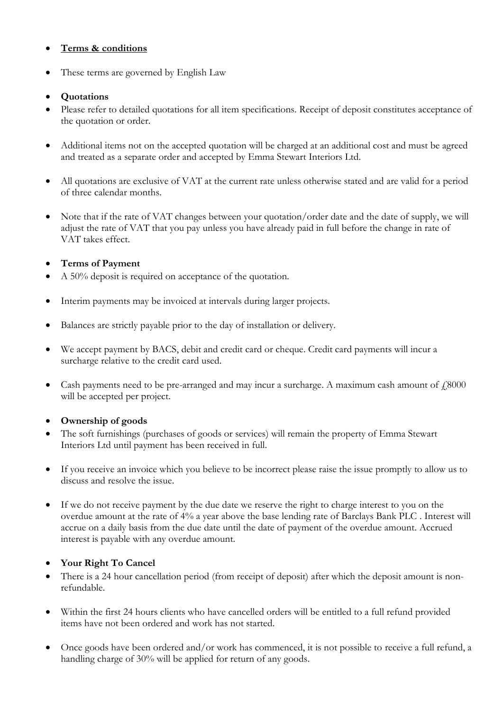## **Terms & conditions**

These terms are governed by English Law

## **Quotations**

- Please refer to detailed quotations for all item specifications. Receipt of deposit constitutes acceptance of the quotation or order.
- Additional items not on the accepted quotation will be charged at an additional cost and must be agreed and treated as a separate order and accepted by Emma Stewart Interiors Ltd.
- All quotations are exclusive of VAT at the current rate unless otherwise stated and are valid for a period of three calendar months.
- Note that if the rate of VAT changes between your quotation/order date and the date of supply, we will adjust the rate of VAT that you pay unless you have already paid in full before the change in rate of VAT takes effect.

# **Terms of Payment**

- A 50% deposit is required on acceptance of the quotation.
- Interim payments may be invoiced at intervals during larger projects.
- Balances are strictly payable prior to the day of installation or delivery.
- We accept payment by BACS, debit and credit card or cheque. Credit card payments will incur a surcharge relative to the credit card used.
- Cash payments need to be pre-arranged and may incur a surcharge. A maximum cash amount of  $\mu$ 8000 will be accepted per project.

# **Ownership of goods**

- The soft furnishings (purchases of goods or services) will remain the property of Emma Stewart Interiors Ltd until payment has been received in full.
- If you receive an invoice which you believe to be incorrect please raise the issue promptly to allow us to discuss and resolve the issue.
- If we do not receive payment by the due date we reserve the right to charge interest to you on the overdue amount at the rate of 4% a year above the base lending rate of Barclays Bank PLC . Interest will accrue on a daily basis from the due date until the date of payment of the overdue amount. Accrued interest is payable with any overdue amount.

## **Your Right To Cancel**

- There is a 24 hour cancellation period (from receipt of deposit) after which the deposit amount is nonrefundable.
- Within the first 24 hours clients who have cancelled orders will be entitled to a full refund provided items have not been ordered and work has not started.
- Once goods have been ordered and/or work has commenced, it is not possible to receive a full refund, a handling charge of 30% will be applied for return of any goods.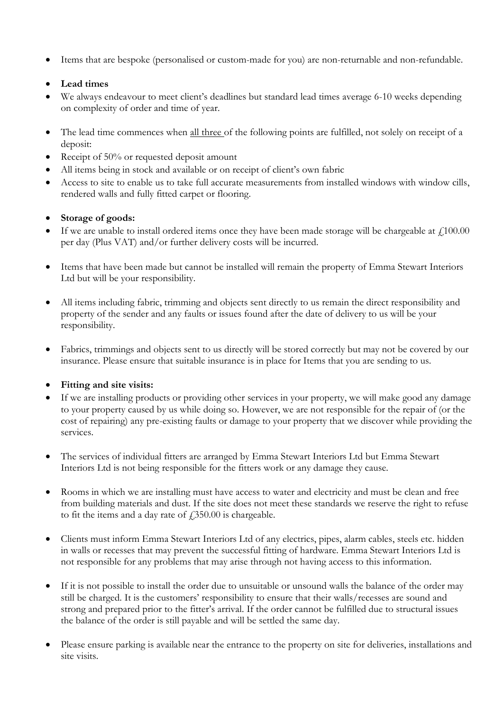Items that are bespoke (personalised or custom-made for you) are non-returnable and non-refundable.

## **Lead times**

- We always endeavour to meet client's deadlines but standard lead times average 6-10 weeks depending on complexity of order and time of year.
- The lead time commences when all three of the following points are fulfilled, not solely on receipt of a deposit:
- Receipt of  $50\%$  or requested deposit amount
- All items being in stock and available or on receipt of client's own fabric
- Access to site to enable us to take full accurate measurements from installed windows with window cills, rendered walls and fully fitted carpet or flooring.

## **Storage of goods:**

- If we are unable to install ordered items once they have been made storage will be chargeable at  $f<sub>100.00</sub>$ per day (Plus VAT) and/or further delivery costs will be incurred.
- Items that have been made but cannot be installed will remain the property of Emma Stewart Interiors Ltd but will be your responsibility.
- All items including fabric, trimming and objects sent directly to us remain the direct responsibility and property of the sender and any faults or issues found after the date of delivery to us will be your responsibility.
- Fabrics, trimmings and objects sent to us directly will be stored correctly but may not be covered by our insurance. Please ensure that suitable insurance is in place for Items that you are sending to us.

## **Fitting and site visits:**

- If we are installing products or providing other services in your property, we will make good any damage to your property caused by us while doing so. However, we are not responsible for the repair of (or the cost of repairing) any pre-existing faults or damage to your property that we discover while providing the services.
- The services of individual fitters are arranged by Emma Stewart Interiors Ltd but Emma Stewart Interiors Ltd is not being responsible for the fitters work or any damage they cause.
- Rooms in which we are installing must have access to water and electricity and must be clean and free from building materials and dust. If the site does not meet these standards we reserve the right to refuse to fit the items and a day rate of  $\text{\textsterling}350.00$  is chargeable.
- Clients must inform Emma Stewart Interiors Ltd of any electrics, pipes, alarm cables, steels etc. hidden in walls or recesses that may prevent the successful fitting of hardware. Emma Stewart Interiors Ltd is not responsible for any problems that may arise through not having access to this information.
- If it is not possible to install the order due to unsuitable or unsound walls the balance of the order may still be charged. It is the customers' responsibility to ensure that their walls/recesses are sound and strong and prepared prior to the fitter's arrival. If the order cannot be fulfilled due to structural issues the balance of the order is still payable and will be settled the same day.
- Please ensure parking is available near the entrance to the property on site for deliveries, installations and site visits.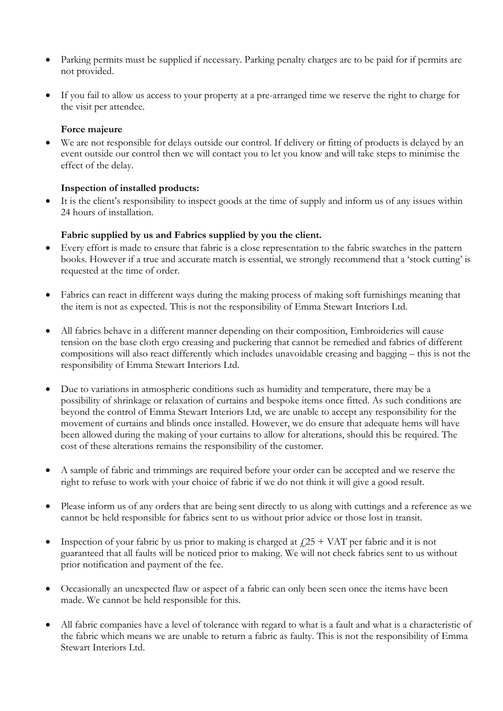- Parking permits must be supplied if necessary. Parking penalty charges are to be paid for if permits are not provided.
- If you fail to allow us access to your property at a pre-arranged time we reserve the right to charge for the visit per attendee.

#### **Force majeure**

 We are not responsible for delays outside our control. If delivery or fitting of products is delayed by an event outside our control then we will contact you to let you know and will take steps to minimise the effect of the delay.

#### **Inspection of installed products:**

 It is the client's responsibility to inspect goods at the time of supply and inform us of any issues within 24 hours of installation.

#### **Fabric supplied by us and Fabrics supplied by you the client.**

- Every effort is made to ensure that fabric is a close representation to the fabric swatches in the pattern books. However if a true and accurate match is essential, we strongly recommend that a 'stock cutting' is requested at the time of order.
- Fabrics can react in different ways during the making process of making soft furnishings meaning that the item is not as expected. This is not the responsibility of Emma Stewart Interiors Ltd.
- All fabrics behave in a different manner depending on their composition, Embroideries will cause tension on the base cloth ergo creasing and puckering that cannot be remedied and fabrics of different compositions will also react differently which includes unavoidable creasing and bagging – this is not the responsibility of Emma Stewart Interiors Ltd.
- Due to variations in atmospheric conditions such as humidity and temperature, there may be a possibility of shrinkage or relaxation of curtains and bespoke items once fitted. As such conditions are beyond the control of Emma Stewart Interiors Ltd, we are unable to accept any responsibility for the movement of curtains and blinds once installed. However, we do ensure that adequate hems will have been allowed during the making of your curtains to allow for alterations, should this be required. The cost of these alterations remains the responsibility of the customer.
- A sample of fabric and trimmings are required before your order can be accepted and we reserve the right to refuse to work with your choice of fabric if we do not think it will give a good result.
- Please inform us of any orders that are being sent directly to us along with cuttings and a reference as we cannot be held responsible for fabrics sent to us without prior advice or those lost in transit.
- Inspection of your fabric by us prior to making is charged at  $f25 + VAT$  per fabric and it is not guaranteed that all faults will be noticed prior to making. We will not check fabrics sent to us without prior notification and payment of the fee.
- Occasionally an unexpected flaw or aspect of a fabric can only been seen once the items have been made. We cannot be held responsible for this.
- All fabric companies have a level of tolerance with regard to what is a fault and what is a characteristic of the fabric which means we are unable to return a fabric as faulty. This is not the responsibility of Emma Stewart Interiors Ltd.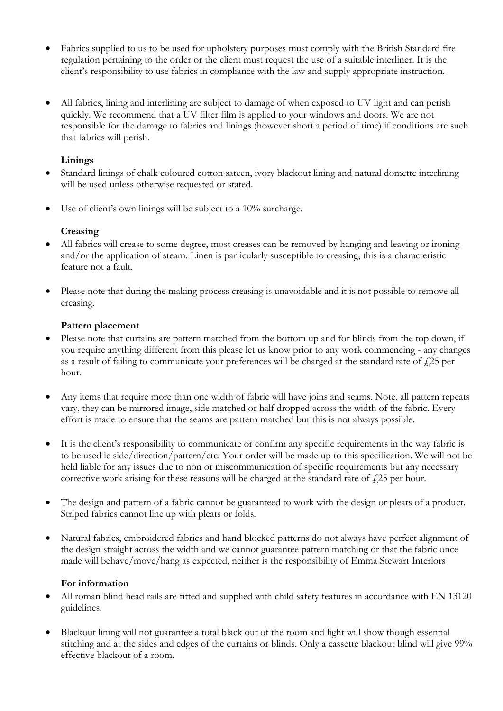- Fabrics supplied to us to be used for upholstery purposes must comply with the British Standard fire regulation pertaining to the order or the client must request the use of a suitable interliner. It is the client's responsibility to use fabrics in compliance with the law and supply appropriate instruction.
- All fabrics, lining and interlining are subject to damage of when exposed to UV light and can perish quickly. We recommend that a UV filter film is applied to your windows and doors. We are not responsible for the damage to fabrics and linings (however short a period of time) if conditions are such that fabrics will perish.

## **Linings**

- Standard linings of chalk coloured cotton sateen, ivory blackout lining and natural domette interlining will be used unless otherwise requested or stated.
- Use of client's own linings will be subject to a 10% surcharge.

## **Creasing**

- All fabrics will crease to some degree, most creases can be removed by hanging and leaving or ironing and/or the application of steam. Linen is particularly susceptible to creasing, this is a characteristic feature not a fault.
- Please note that during the making process creasing is unavoidable and it is not possible to remove all creasing.

## **Pattern placement**

- Please note that curtains are pattern matched from the bottom up and for blinds from the top down, if you require anything different from this please let us know prior to any work commencing - any changes as a result of failing to communicate your preferences will be charged at the standard rate of  $\ell$ 25 per hour.
- Any items that require more than one width of fabric will have joins and seams. Note, all pattern repeats vary, they can be mirrored image, side matched or half dropped across the width of the fabric. Every effort is made to ensure that the seams are pattern matched but this is not always possible.
- It is the client's responsibility to communicate or confirm any specific requirements in the way fabric is to be used ie side/direction/pattern/etc. Your order will be made up to this specification. We will not be held liable for any issues due to non or miscommunication of specific requirements but any necessary corrective work arising for these reasons will be charged at the standard rate of  $\ell$ 25 per hour.
- The design and pattern of a fabric cannot be guaranteed to work with the design or pleats of a product. Striped fabrics cannot line up with pleats or folds.
- Natural fabrics, embroidered fabrics and hand blocked patterns do not always have perfect alignment of the design straight across the width and we cannot guarantee pattern matching or that the fabric once made will behave/move/hang as expected, neither is the responsibility of Emma Stewart Interiors

## **For information**

- All roman blind head rails are fitted and supplied with child safety features in accordance with EN 13120 guidelines.
- Blackout lining will not guarantee a total black out of the room and light will show though essential stitching and at the sides and edges of the curtains or blinds. Only a cassette blackout blind will give 99% effective blackout of a room.